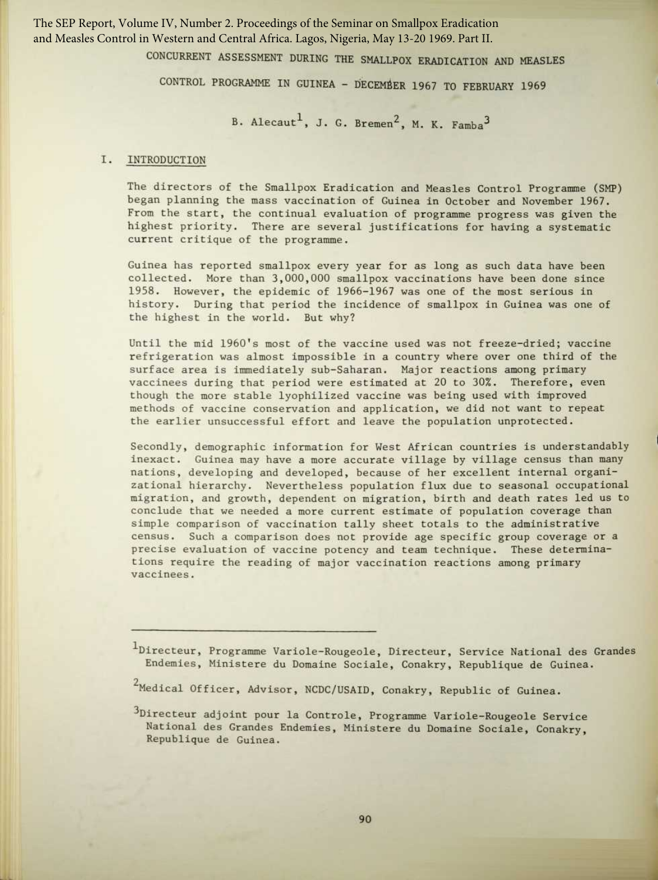The SEP Report, Volume IV, Number 2. Proceedings of the Seminar on Smallpox Eradication and Measles Control in Western and Central Africa. Lagos, Nigeria, May 13-20 1969. Part II.

CONCURRENT ASSESSMENT DURING THE SMALLPDX ERADICATION AND MEASLES

CONTROL PROGRAMME IN GUINEA - DECEMBER 1967 TO FEBRUARY 1969

B. Alecaut<sup>1</sup>, J. G. Bremen<sup>2</sup>, M. K. Famba<sup>3</sup>

## I. INTRODUCTION

The directors of the Smallpox Eradication and Measles Control Programme (SMP) began planning the mass vaccination of Guinea in October and November 1967. From the start, the continual evaluation of programme progress was given the highest priority. There are several justifications for having a systematic current critique of the programme.

Guinea has reported smallpox every year for as long as such data have been collected. More than 3,000,000 smallpox vaccinations have been done since 1958 . However, the epidemic of 1966-1967 was one of the most serious in history. During that period the incidence of smallpox in Guinea was one of the highest in the world. But why?

Until the mid 1960's most of the vaccine used was not freeze-dried; vaccine refrigeration was almost impossible in a country where over one third of the surface area is immediately sub-Saharan. Major reactions among primary vaccinees during that period were estimated at 20 to 30% . Therefore, even though the more stable lyophilized vaccine was being used with improved methods of vaccine conservation and application, we did not want to repeat the earlier unsuccessful effort and leave the population unprotected.

Secondly, demographic information for West African countries is understandably inexact. Guinea may have a more accurate village by village census than many nations, developing and developed, because of her excellent internal organizational hierarchy. Nevertheless population flux due to seasonal occupational migration, and growth, dependent on migration, birth and death rates led us to conclude that we needed a more current estimate of population coverage than simple comparison of vaccination tally sheet totals to the administrative census. Such a comparison does not provide age specific group coverage or a precise evaluation of vaccine potency and team technique. These determinations require the reading of major vaccination reactions among primary vaccinees.

<sup>1</sup>Directeur, Programme Variole-Rougeole, Directeur, Service National des Grandes Endemies, Ministere du Domaine Sociale, Conakry, Republique de Guinea.

 $2$ Medical Officer, Advisor, NCDC/USAID, Conakry, Republic of Guinea.

<sup>&</sup>lt;sup>3</sup>Directeur adjoint pour la Controle, Programme Variole-Rougeole Service National des Grandes Endemies, Ministere du Domaine Sociale, Conakry, Republique de Guinea .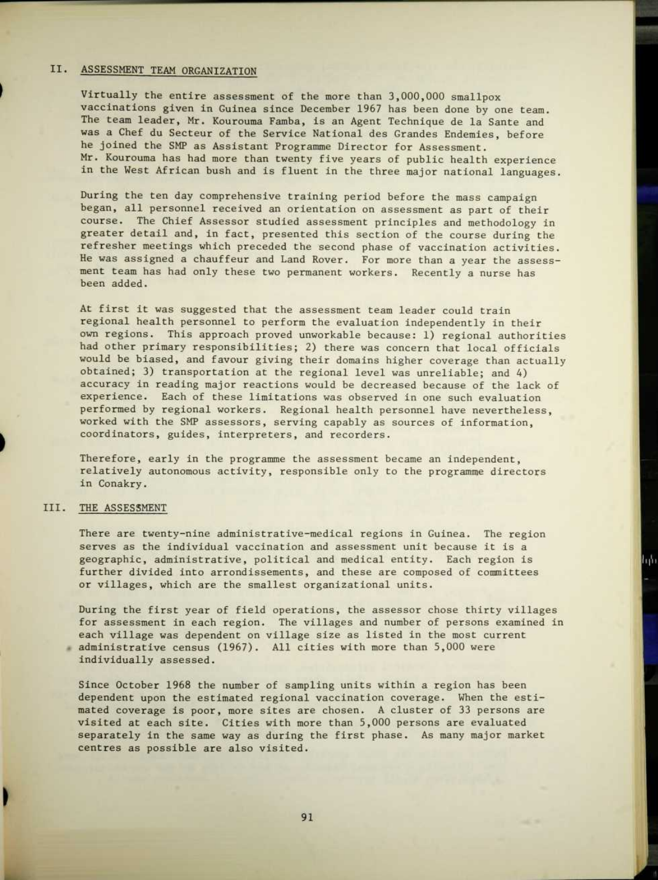## II. ASSESSMENT TEAM ORGANIZATION

Virtually the entire assessment of the more than 3,000,000 smallpox vaccinations given in Guinea since December 1967 has been done by one team. The team leader, Mr. Kourouma Famba, is an Agent Technique de la Sante and was a Chef du Secteur of the Service National des Grandes Endemies, before he joined the SMP as Assistant Programme Director for Assessment. Mr. Kourouma has had more than twenty five years of public health experience in the West African bush and is fluent in the three major national languages.

During the ten day comprehensive training period before the mass campaign began, all personnel received an orientation on assessment as part of their course. The Chief Assessor studied assessment principles and methodology in greater detail and, in fact, presented this section of the course during the refresher meetings which preceded the second phase of vaccination activities. He was assigned a chauffeur and Land Rover. For more than a year the assessment team has had only these two permanent workers. Recently a nurse has been added.

At first it was suggested that the assessment team leader could train regional health personnel to perform the evaluation independently in their own regions. This approach proved unworkable because: 1) regional authorities had other primary responsibilities; 2) there was concern that local officials would be biased, and favour giving their domains higher coverage than actually obtained; 3) transportation at the regional level was unreliable; and 4) accuracy in reading major reactions would be decreased because of the lack of experience . Each of these limitations was observed in one such evaluation performed by regional workers. Regional health personnel have nevertheless, worked with the SMP assessors, serving capably as sources of information, coordinators, guides, interpreters, and recorders.

Therefore, early in the programme the assessment became an independent, relatively autonomous activity, responsible only to the programme directors in Conakry.

#### III. THE ASSESSMENT

There are twenty-nine administrative-medical regions in Guinea. The region serves as the individual vaccination and assessment unit because it is a geographic, administrative, political and medical entity. Each region is further divided into arrondissements, and these are composed of committees or villages, which are the smallest organizational units.

During the first year of field operations, the assessor chose thirty villages for assessment in each region. The villages and number of persons examined in each village was dependent on village size as listed in the most current administrative census (1967) . All cities with more than 5,000 were individually assessed.

Since October 1968 the number of sampling units within a region has been dependent upon the estimated regional vaccination coverage. When the estimated coverage is poor, more sites are chosen. A cluster of 33 persons are visited at each site. Cities with more than 5,000 persons are evaluated separately in the same way as during the first phase. As many major market centres as possible are also visited .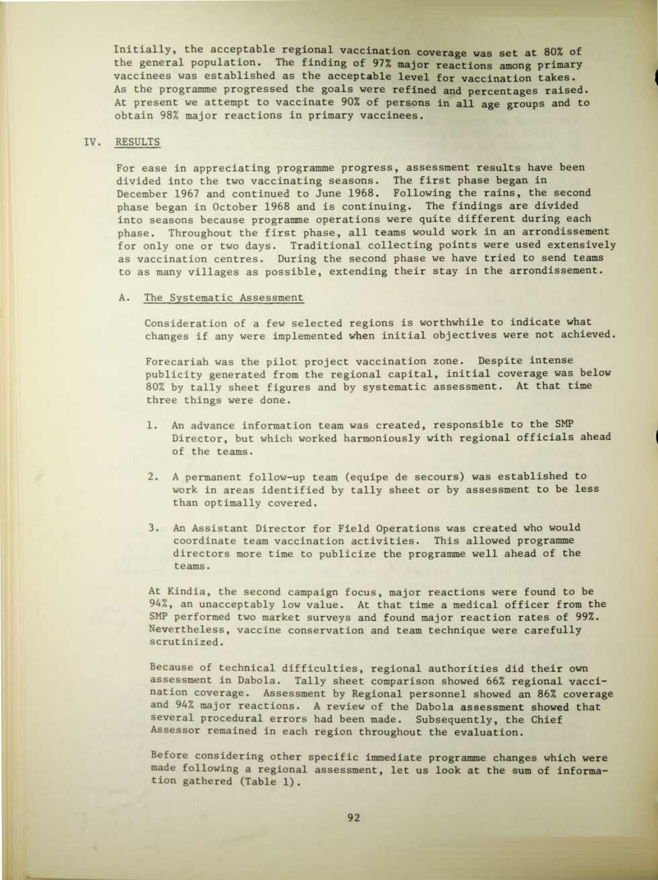Initially, the acceptable regional vaccination coverage was set at 80% of the general population. The finding of 97% major reactions among primary vaccinees was established as the acceptable level for vaccination takes. As the programme progressed the goals were refined and percentages raised. At present we attempt to vaccinate 90% of persons in all age groups and to obtain 98% major reactions in primary vaccinees.

### IV. RESULTS

For ease in appreciating programme progress, assessment results have been divided into the two vaccinating seasons. The first phase began in December 1967 and continued to June 1968. Following the rains, the second phase began in October 1968 and is continuing. The findings are divided into seasons because programme operations were quite different during each phase. Throughout the first phase, all teams would work in an arrondissement for only one or two days. Traditional collecting points were used extensively as vaccination centres. During the second phase we have tried to send teams to as many villages as possible, extending their stay in the arrondissement.

### A. The Systematic Assessment

Consideration of a few selected regions is worthwhile to indicate what changes if any were implemented when initial objectives were not achieved.

Forecariah was the pilot project vaccination zone. Despite intense publicity generated from the regional capital, initial coverage was below 80% by tally sheet figures and by systematic assessment. At that time three things were done.

- 1. An advance information team was created, responsible to the SMP Director, but which worked harmoniously with regional officials ahead of the teams.
- 2. A permanent follow-up team (equipe de secours) was established to work in areas identified by tally sheet or by assessment to be less than optimally covered.
- 3. An Assistant Director for Field Operations was created who would coordinate team vaccination activities. This allowed programme directors more time to publicize the programme well ahead of the teams.

At Kindia, the second campaign focus, major reactions were found to be 94%, an unacceptably low value. At that time a medical officer from the SMP performed two market surveys and found major reaction rates of 99%. Nevertheless, vaccine conservation and team technique were carefully scrutinized.

Because of technical difficulties, regional authorities did their own assessment in Dabola. Tally sheet comparison showed 66% regional vaccination coverage. Assessment by Regional personnel showed an 86% coverage and 94% major reactions. A review of the Dabola assessment showed that several procedural errors had been made. Subsequently, the Chief Assessor remained in each region throughout the evaluation.

Before considering other specific immediate programme changes which were made following a regional assessment, let us look at the sum of information gathered (Table 1) .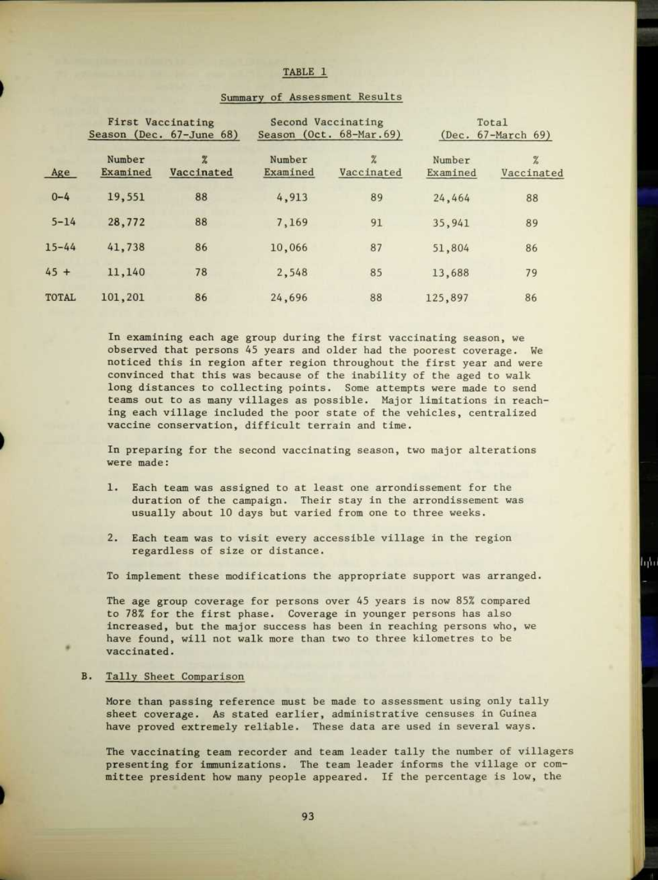|              | First Vaccinating<br>Season (Dec. 67-June 68) |                 | Second Vaccinating<br>Season (Oct. 68-Mar. 69) |                                                  | Total<br>(Dec. 67-March 69) |                             |
|--------------|-----------------------------------------------|-----------------|------------------------------------------------|--------------------------------------------------|-----------------------------|-----------------------------|
| Age          | Number<br>Examined                            | Z<br>Vaccinated | Number<br>Examined                             | $\frac{\partial}{\partial \alpha}$<br>Vaccinated | Number<br>Examined          | $\frac{9}{6}$<br>Vaccinated |
| $0 - 4$      | 19,551                                        | 88              | 4,913                                          | 89                                               | 24,464                      | 88                          |
| $5 - 14$     | 28,772                                        | 88              | 7,169                                          | 91                                               | 35,941                      | 89                          |
| $15 - 44$    | 41,738                                        | 86              | 10,066                                         | 87                                               | 51,804                      | 86                          |
| $45 +$       | 11,140                                        | 78              | 2,548                                          | 85                                               | 13,688                      | 79                          |
| <b>TOTAL</b> | 101,201                                       | 86              | 24,696                                         | 88                                               | 125,897                     | 86                          |

# Summary of Assessment Results

TABLE 1

In examining each age group during the first vaccinating season, we observed that persons 45 years and older had the poorest coverage . We noticed this in region after region throughout the first year and were convinced that this was because of the inability of the aged to walk long distances to collecting points. Some attempts were made to send teams out to as many villages as possible . Major limitations in reaching each village included the poor state of the vehicles, centralized vaccine conservation, difficult terrain and time.

In preparing for the second vaccinating season, two major alterations were made:

- 1. Each team was assigned to at least one arrondissement for the duration of the campaign. Their stay in the arrondissement was usually about 10 days but varied from one to three weeks.
- 2. Each team was to visit every accessible village in the region regardless of size or distance.

To implement these modifications the appropriate support was arranged.

The age group coverage for persons over 45 years is now 85% compared to 78% for the first phase. Coverage in younger persons has also increased, but the major success has been in reaching persons who, we have found, will not walk more than two to three kilometres to be vaccinated.

B. Tally Sheet Comparison

More than passing reference must be made to assessment using only tally sheet coverage. As stated earlier, administrative censuses in Guinea have proved extremely reliable. These data are used in several ways.

The vaccinating team recorder and team leader tally the number of villagers presenting for immunizations . The team leader informs the village or committee president how many people appeared. If the percentage is low, the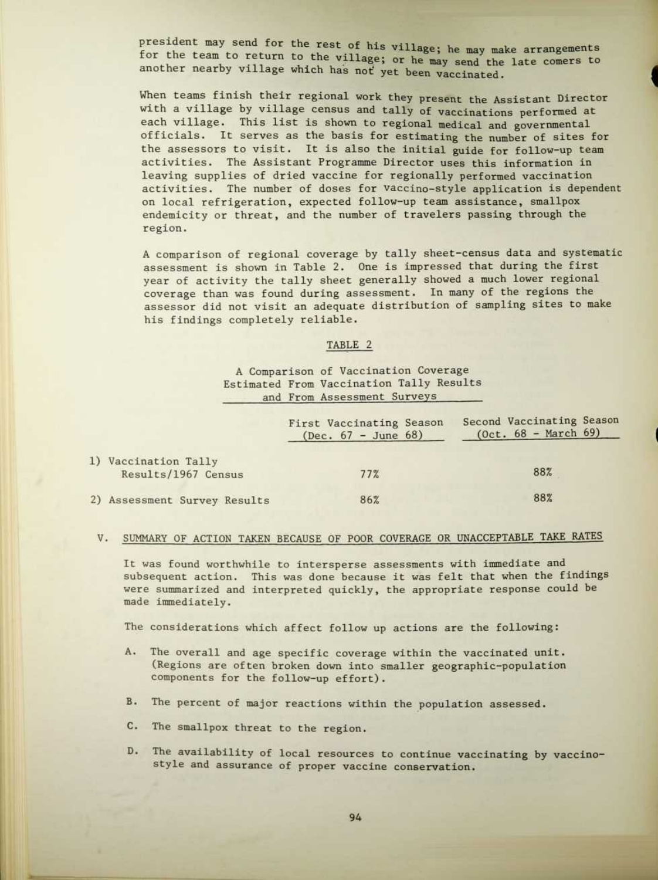president may send for the rest of his village; he may make arrangements for the team to return to the village; or he may send the late comers to another nearby village which has not yet been vaccinated.

When teams finish their regional work they present the Assistant Director with a village by village census and tally of vaccinations performed at each village. This list is shown to regional medical and governmental officials. It serves as the basis for estimating the number of sites for the assessors to visit. It is also the initial guide for follow-up team activities. The Assistant Programme Director uses this information in leaving supplies of dried vaccine for regionally performed vaccination activities. The number of doses for vaccino-style application is dependent on local refrigeration, expected follow-up team assistance, smallpox endemicity or threat, and the number of travelers passing through the region.

A comparison of regional coverage by tally sheet-census data and systematic assessment is shown in Table 2. One is impressed that during the first year of activity the tally sheet generally showed a much lower regional coverage than was found during assessment. In many of the regions the assessor did not visit an adequate distribution of sampling sites to make his findings completely reliable.

#### TABLE 2

# A Comparison of Vaccination Coverage Estimated From Vaccination Tally Results and From Assessment Surveys

|                                             | First Vaccinating Season<br>(Dec. $67 - June 68$ ) | Second Vaccinating Season<br>$(0ct. 68 - March 69)$ |
|---------------------------------------------|----------------------------------------------------|-----------------------------------------------------|
| 1) Vaccination Tally<br>Results/1967 Census | 77%                                                | 88%                                                 |
| 2) Assessment Survey Results                | 86%                                                | 88%                                                 |

# V. SUMMARY OF ACTION TAKEN BECAUSE OF POOR COVERAGE OR UNACCEPTABLE TAKE RATES

It was found worthwhile to intersperse assessments with immediate and subsequent action. This was done because it was felt that when the findings were summarized and interpreted quickly, the appropriate response could be made immediately.

The considerations which affect follow up actions are the following:

- A. The overall and age specific coverage within the vaccinated unit. (Regions are often broken down into smaller geographic-population components for the follow-up effort).
- B. The percent of major reactions within the population assessed.
- C. The smallpox threat to the region.
- D. The availability of local resources to continue vaccinating by vaccinostyle and assurance of proper vaccine conservation.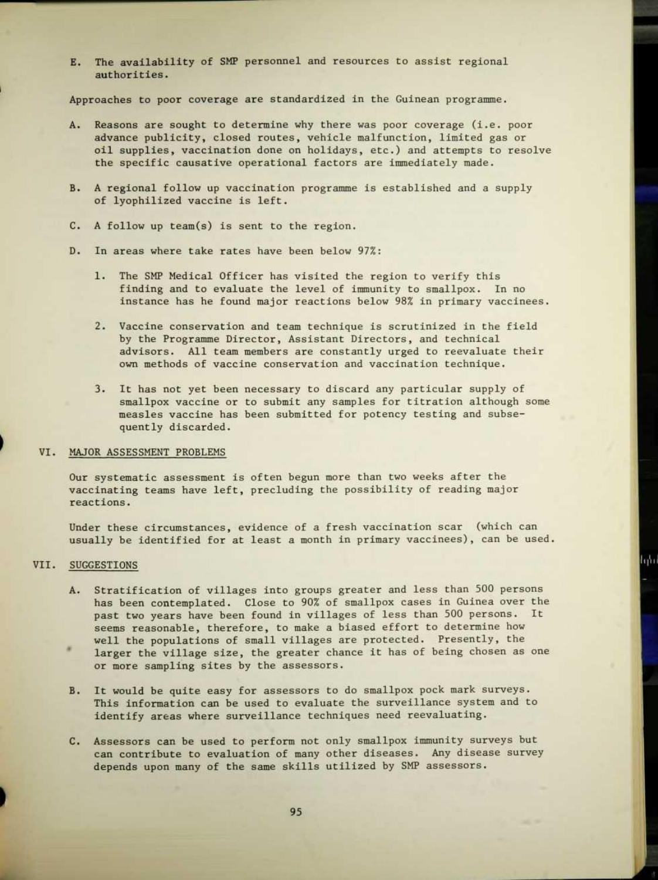E. The availability of SMP personnel and resources to assist regional authorities.

Approaches to poor coverage are standardized in the Guinean programme.

- A. Reasons are sought to determine why there was poor coverage (i.e. poor advance publicity, closed routes, vehicle malfunction, limited gas or oil supplies, vaccination done on holidays, etc .) and attempts to resolve the specific causative operational factors are immediately made.
- B . A regional follow up vaccination programme is established and a supply of lyophilized vaccine is left.
- C. A follow up team(s) is sent to the region.
- D. In areas where take rates have been below 97%:
	- 1. The SMP Medical Officer has visited the region to verify this finding and to evaluate the level of immunity to smallpox. In no instance has he found major reactions below 98% in primary vaccinees.
	- 2. Vaccine conservation and team technique is scrutinized in the field by the Programme Director, Assistant Directors, and technical advisors . All team members are constantly urged to reevaluate their own methods of vaccine conservation and vaccination technique.
	- 3. It has not yet been necessary to discard any particular supply of smallpox vaccine or to submit any samples for titration although some measles vaccine has been submitted for potency testing and subsequently discarded.

#### VI. MAJOR ASSESSMENT PROBLEMS

Our systematic assessment is often begun more than two weeks after the vaccinating teams have left, precluding the possibility of reading major reactions.

Under these circumstances, evidence of a fresh vaccination scar (which can usually be identified for at least a month in primary vaccinees), can be used.

հին

#### VII. SUGGESTIONS

- A. Stratification of villages into groups greater and less than 500 persons has been contemplated. Close to 90% of smallpox cases in Guinea over the past two years have been found in villages of less than 500 persons. It seems reasonable, therefore, to make a biased effort to determine how well the populations of small villages are protected. Presently, the
- larger the village size, the greater chance it has of being chosen as one or more sampling sites by the assessors.
- B. It would be quite easy for assessors to do smallpox pock mark surveys. This information can be used to evaluate the surveillance system and to identify areas where surveillance techniques need reevaluating.
- C. Assessors can be used to perform not only smallpox immunity surveys but can contribute to evaluation of many other diseases. Any disease survey depends upon many of the same skills utilized by SMP assessors.